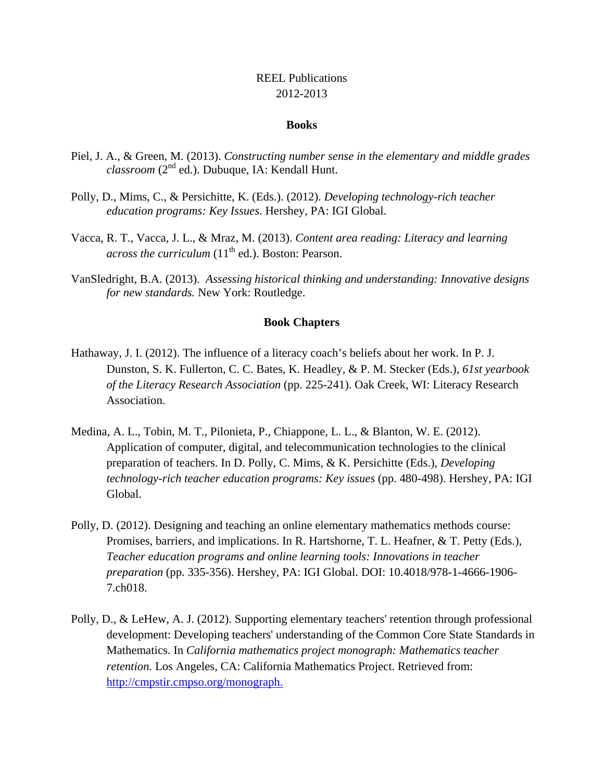## REEL Publications 2012-2013

## **Books**

- Piel, J. A., & Green, M. (2013). *Constructing number sense in the elementary and middle grades classroom* (2nd ed.). Dubuque, IA: Kendall Hunt.
- Polly, D., Mims, C., & Persichitte, K. (Eds.). (2012). *Developing technology-rich teacher education programs: Key Issues*. Hershey, PA: IGI Global.
- Vacca, R. T., Vacca, J. L., & Mraz, M. (2013). *Content area reading: Literacy and learning across the curriculum*  $(11<sup>th</sup>$  ed.). Boston: Pearson.
- VanSledright, B.A. (2013). *Assessing historical thinking and understanding: Innovative designs for new standards.* New York: Routledge.

## **Book Chapters**

- Hathaway, J. I. (2012). The influence of a literacy coach's beliefs about her work. In P. J. Dunston, S. K. Fullerton, C. C. Bates, K. Headley, & P. M. Stecker (Eds.), *61st yearbook of the Literacy Research Association* (pp. 225-241). Oak Creek, WI: Literacy Research Association.
- Medina, A. L., Tobin, M. T., Pilonieta, P., Chiappone, L. L., & Blanton, W. E. (2012). Application of computer, digital, and telecommunication technologies to the clinical preparation of teachers. In D. Polly, C. Mims, & K. Persichitte (Eds.), *Developing technology-rich teacher education programs: Key issues* (pp. 480-498). Hershey, PA: IGI Global.
- Polly, D. (2012). Designing and teaching an online elementary mathematics methods course: Promises, barriers, and implications. In R. Hartshorne, T. L. Heafner, & T. Petty (Eds.), *Teacher education programs and online learning tools: Innovations in teacher preparation* (pp. 335-356). Hershey, PA: IGI Global. DOI: 10.4018/978-1-4666-1906- 7.ch018.
- Polly, D., & LeHew, A. J. (2012). Supporting elementary teachers' retention through professional development: Developing teachers' understanding of the Common Core State Standards in Mathematics. In *California mathematics project monograph: Mathematics teacher retention.* Los Angeles, CA: California Mathematics Project. Retrieved from: http://cmpstir.cmpso.org/monograph.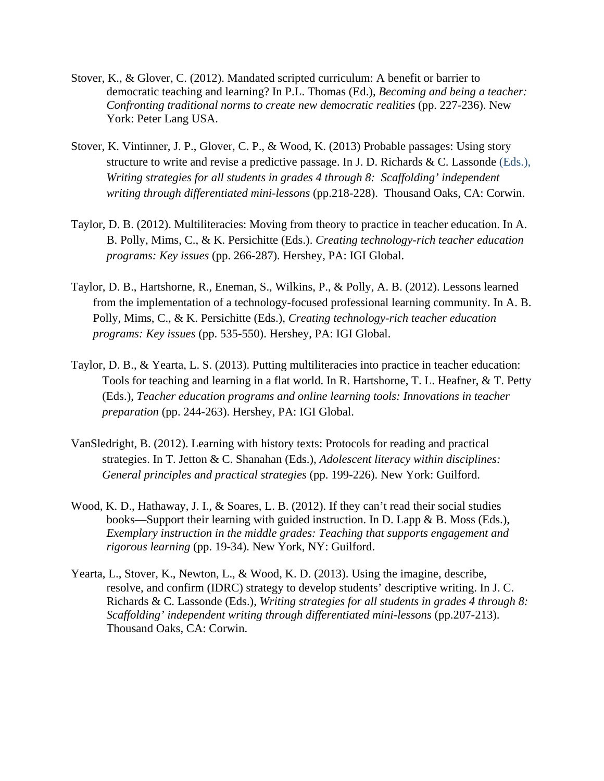- Stover, K., & Glover, C. (2012). Mandated scripted curriculum: A benefit or barrier to democratic teaching and learning? In P.L. Thomas (Ed.), *Becoming and being a teacher: Confronting traditional norms to create new democratic realities* (pp. 227-236). New York: Peter Lang USA.
- Stover, K. Vintinner, J. P., Glover, C. P., & Wood, K. (2013) Probable passages: Using story structure to write and revise a predictive passage. In J. D. Richards  $& C$ . Lassonde (Eds.), *Writing strategies for all students in grades 4 through 8: Scaffolding' independent writing through differentiated mini-lessons* (pp.218-228). Thousand Oaks, CA: Corwin.
- Taylor, D. B. (2012). Multiliteracies: Moving from theory to practice in teacher education. In A. B. Polly, Mims, C., & K. Persichitte (Eds.). *Creating technology-rich teacher education programs: Key issues* (pp. 266-287). Hershey, PA: IGI Global.
- Taylor, D. B., Hartshorne, R., Eneman, S., Wilkins, P., & Polly, A. B. (2012). Lessons learned from the implementation of a technology-focused professional learning community. In A. B. Polly, Mims, C., & K. Persichitte (Eds.), *Creating technology-rich teacher education programs: Key issues* (pp. 535-550). Hershey, PA: IGI Global.
- Taylor, D. B., & Yearta, L. S. (2013). Putting multiliteracies into practice in teacher education: Tools for teaching and learning in a flat world. In R. Hartshorne, T. L. Heafner, & T. Petty (Eds.), *Teacher education programs and online learning tools: Innovations in teacher preparation* (pp. 244-263). Hershey, PA: IGI Global.
- VanSledright, B. (2012). Learning with history texts: Protocols for reading and practical strategies. In T. Jetton & C. Shanahan (Eds.), *Adolescent literacy within disciplines: General principles and practical strategies* (pp. 199-226). New York: Guilford.
- Wood, K. D., Hathaway, J. I., & Soares, L. B. (2012). If they can't read their social studies books—Support their learning with guided instruction. In D. Lapp  $\& B$ . Moss (Eds.), *Exemplary instruction in the middle grades: Teaching that supports engagement and rigorous learning* (pp. 19-34). New York, NY: Guilford.
- Yearta, L., Stover, K., Newton, L., & Wood, K. D. (2013). Using the imagine, describe, resolve, and confirm (IDRC) strategy to develop students' descriptive writing. In J. C. Richards & C. Lassonde (Eds.), *Writing strategies for all students in grades 4 through 8: Scaffolding' independent writing through differentiated mini-lessons* (pp.207-213). Thousand Oaks, CA: Corwin.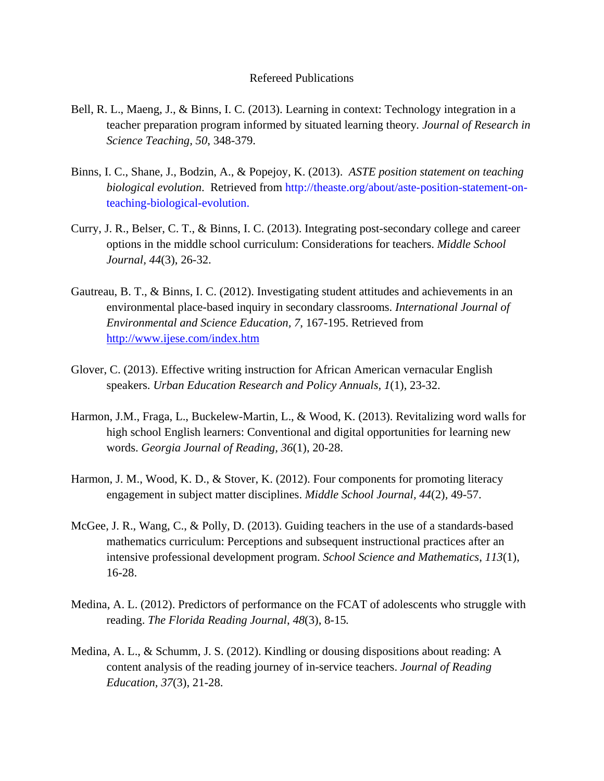## Refereed Publications

- Bell, R. L., Maeng, J., & Binns, I. C. (2013). Learning in context: Technology integration in a teacher preparation program informed by situated learning theory*. Journal of Research in Science Teaching, 50*, 348-379.
- Binns, I. C., Shane, J., Bodzin, A., & Popejoy, K. (2013). *ASTE position statement on teaching biological evolution*. Retrieved from http://theaste.org/about/aste-position-statement-onteaching-biological-evolution.
- Curry, J. R., Belser, C. T., & Binns, I. C. (2013). Integrating post-secondary college and career options in the middle school curriculum: Considerations for teachers. *Middle School Journal, 44*(3), 26-32.
- Gautreau, B. T., & Binns, I. C. (2012). Investigating student attitudes and achievements in an environmental place-based inquiry in secondary classrooms. *International Journal of Environmental and Science Education, 7*, 167-195. Retrieved from http://www.ijese.com/index.htm
- Glover, C. (2013). Effective writing instruction for African American vernacular English speakers. *Urban Education Research and Policy Annuals, 1*(1), 23-32.
- Harmon, J.M., Fraga, L., Buckelew-Martin, L., & Wood, K. (2013). Revitalizing word walls for high school English learners: Conventional and digital opportunities for learning new words. *Georgia Journal of Reading, 36*(1), 20-28.
- Harmon, J. M., Wood, K. D., & Stover, K. (2012). Four components for promoting literacy engagement in subject matter disciplines. *Middle School Journal, 44*(2)*,* 49-57.
- McGee, J. R., Wang, C., & Polly, D. (2013). Guiding teachers in the use of a standards-based mathematics curriculum: Perceptions and subsequent instructional practices after an intensive professional development program. *School Science and Mathematics*, *113*(1), 16-28.
- Medina, A. L. (2012). Predictors of performance on the FCAT of adolescents who struggle with reading. *The Florida Reading Journal*, *48*(3), 8-15*.*
- Medina, A. L., & Schumm, J. S. (2012). Kindling or dousing dispositions about reading: A content analysis of the reading journey of in-service teachers. *Journal of Reading Education, 37*(3), 21-28.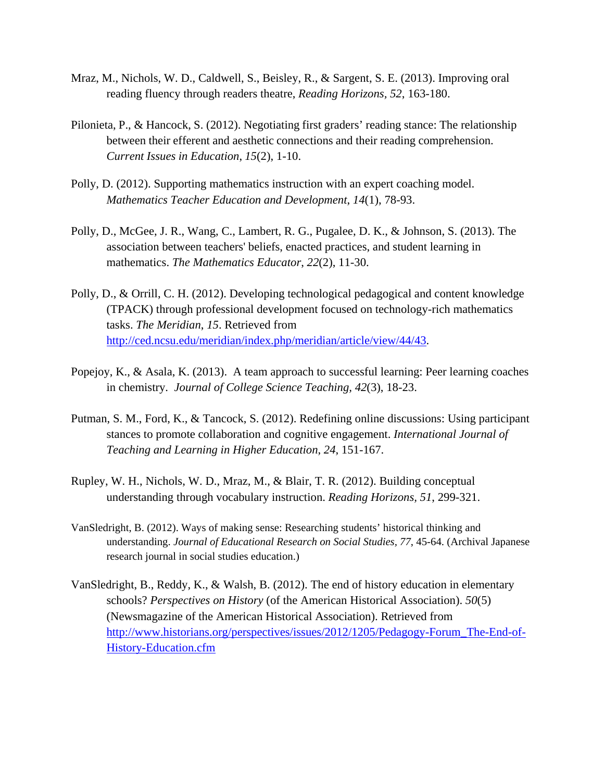- Mraz, M., Nichols, W. D., Caldwell, S., Beisley, R., & Sargent, S. E. (2013). Improving oral reading fluency through readers theatre, *Reading Horizons, 52*, 163-180.
- Pilonieta, P., & Hancock, S. (2012). Negotiating first graders' reading stance: The relationship between their efferent and aesthetic connections and their reading comprehension. *Current Issues in Education*, *15*(2), 1-10.
- Polly, D. (2012). Supporting mathematics instruction with an expert coaching model. *Mathematics Teacher Education and Development*, *14*(1), 78-93.
- Polly, D., McGee, J. R., Wang, C., Lambert, R. G., Pugalee, D. K., & Johnson, S. (2013). The association between teachers' beliefs, enacted practices, and student learning in mathematics. *The Mathematics Educator*, *22*(2), 11-30.
- Polly, D., & Orrill, C. H. (2012). Developing technological pedagogical and content knowledge (TPACK) through professional development focused on technology-rich mathematics tasks. *The Meridian*, *15*. Retrieved from http://ced.ncsu.edu/meridian/index.php/meridian/article/view/44/43.
- Popejoy, K., & Asala, K. (2013). A team approach to successful learning: Peer learning coaches in chemistry. *Journal of College Science Teaching, 42*(3), 18-23.
- Putman, S. M., Ford, K., & Tancock, S. (2012). Redefining online discussions: Using participant stances to promote collaboration and cognitive engagement. *International Journal of Teaching and Learning in Higher Education*, *24*, 151-167.
- Rupley, W. H., Nichols, W. D., Mraz, M., & Blair, T. R. (2012). Building conceptual understanding through vocabulary instruction. *Reading Horizons, 51*, 299-321.
- VanSledright, B. (2012). Ways of making sense: Researching students' historical thinking and understanding. *Journal of Educational Research on Social Studies, 77*, 45-64. (Archival Japanese research journal in social studies education.)
- VanSledright, B., Reddy, K., & Walsh, B. (2012). The end of history education in elementary schools? *Perspectives on History* (of the American Historical Association). *50*(5) (Newsmagazine of the American Historical Association). Retrieved from http://www.historians.org/perspectives/issues/2012/1205/Pedagogy-Forum\_The-End-of-History-Education.cfm